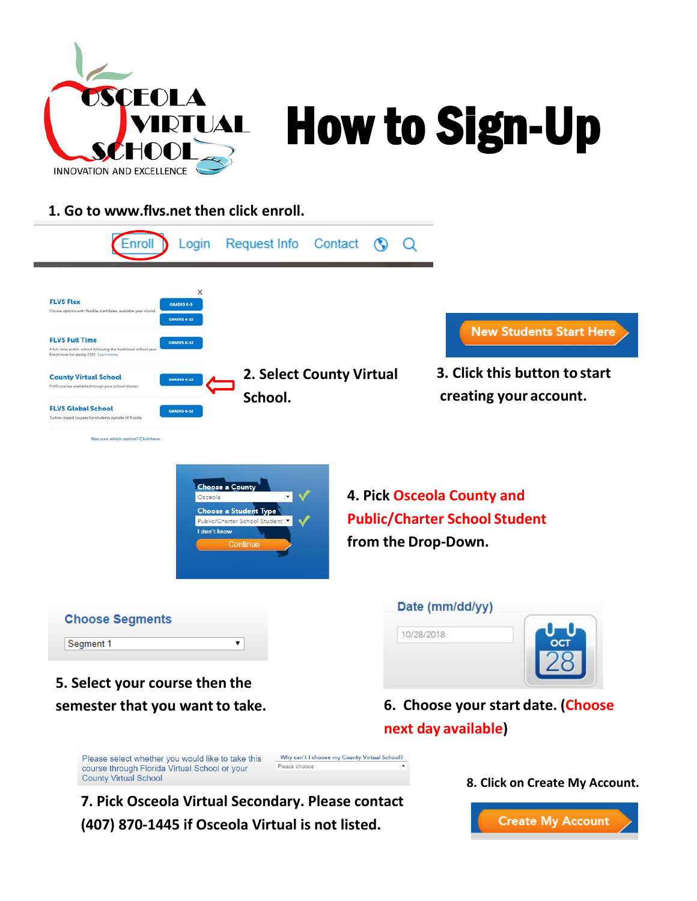

## How to Sign-Up

## **1. Go to [www.flvs.net](http://www.flvs.net/) then click enroll.**



**7. Pick Osceola Virtual Secondary. Please contact (407) 870-1445 if Osceola Virtual is not listed.**